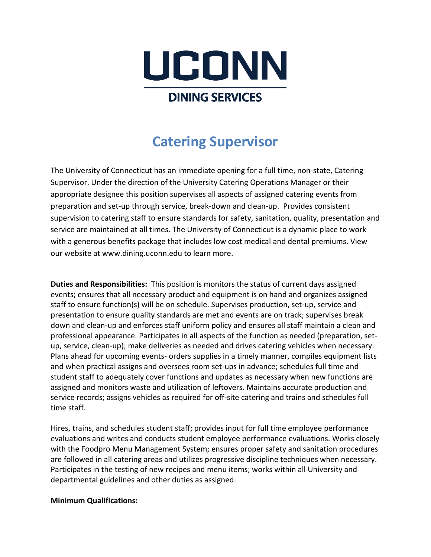

# **Catering Supervisor**

The University of Connecticut has an immediate opening for a full time, non-state, Catering Supervisor. Under the direction of the University Catering Operations Manager or their appropriate designee this position supervises all aspects of assigned catering events from preparation and set-up through service, break-down and clean-up. Provides consistent supervision to catering staff to ensure standards for safety, sanitation, quality, presentation and service are maintained at all times. The University of Connecticut is a dynamic place to work with a generous benefits package that includes low cost medical and dental premiums. View our website at www.dining.uconn.edu to learn more.

**Duties and Responsibilities:** This position is monitors the status of current days assigned events; ensures that all necessary product and equipment is on hand and organizes assigned staff to ensure function(s) will be on schedule. Supervises production, set-up, service and presentation to ensure quality standards are met and events are on track; supervises break down and clean-up and enforces staff uniform policy and ensures all staff maintain a clean and professional appearance. Participates in all aspects of the function as needed (preparation, setup, service, clean-up); make deliveries as needed and drives catering vehicles when necessary. Plans ahead for upcoming events- orders supplies in a timely manner, compiles equipment lists and when practical assigns and oversees room set-ups in advance; schedules full time and student staff to adequately cover functions and updates as necessary when new functions are assigned and monitors waste and utilization of leftovers. Maintains accurate production and service records; assigns vehicles as required for off-site catering and trains and schedules full time staff.

Hires, trains, and schedules student staff; provides input for full time employee performance evaluations and writes and conducts student employee performance evaluations. Works closely with the Foodpro Menu Management System; ensures proper safety and sanitation procedures are followed in all catering areas and utilizes progressive discipline techniques when necessary. Participates in the testing of new recipes and menu items; works within all University and departmental guidelines and other duties as assigned.

#### **Minimum Qualifications:**